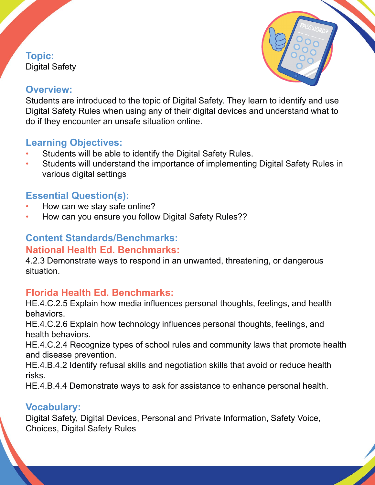### **Topic:**  Digital Safety



## **Overview:**

Students are introduced to the topic of Digital Safety. They learn to identify and use Digital Safety Rules when using any of their digital devices and understand what to do if they encounter an unsafe situation online.

# **Learning Objectives:**

- Students will be able to identify the Digital Safety Rules.
- Students will understand the importance of implementing Digital Safety Rules in various digital settings

# **Essential Question(s):**

- How can we stay safe online?
- How can you ensure you follow Digital Safety Rules??

#### **Content Standards/Benchmarks: National Health Ed. Benchmarks:**

4.2.3 Demonstrate ways to respond in an unwanted, threatening, or dangerous situation.

## **Florida Health Ed. Benchmarks:**

HE.4.C.2.5 Explain how media influences personal thoughts, feelings, and health behaviors.

HE.4.C.2.6 Explain how technology influences personal thoughts, feelings, and health behaviors.

HE.4.C.2.4 Recognize types of school rules and community laws that promote health and disease prevention.

HE.4.B.4.2 Identify refusal skills and negotiation skills that avoid or reduce health risks.

HE.4.B.4.4 Demonstrate ways to ask for assistance to enhance personal health.

## **Vocabulary:**

Digital Safety, Digital Devices, Personal and Private Information, Safety Voice, Choices, Digital Safety Rules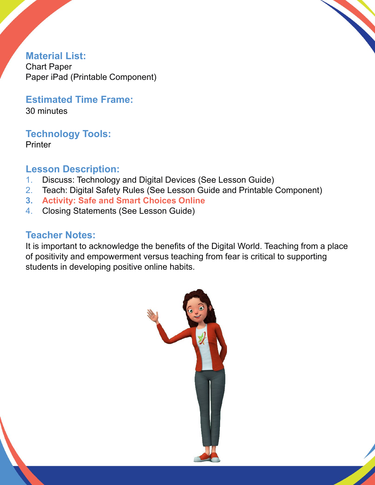

**Material List:** Chart Paper Paper iPad (Printable Component)

**Estimated Time Frame:** 30 minutes

**Technology Tools: Printer** 

**Lesson Description:** 

- 1. Discuss: Technology and Digital Devices (See Lesson Guide)
- 2. Teach: Digital Safety Rules (See Lesson Guide and Printable Component)
- **3. Activity: Safe and Smart Choices Online**
- 4. Closing Statements (See Lesson Guide)

# **Teacher Notes:**

It is important to acknowledge the benefits of the Digital World. Teaching from a place of positivity and empowerment versus teaching from fear is critical to supporting students in developing positive online habits.

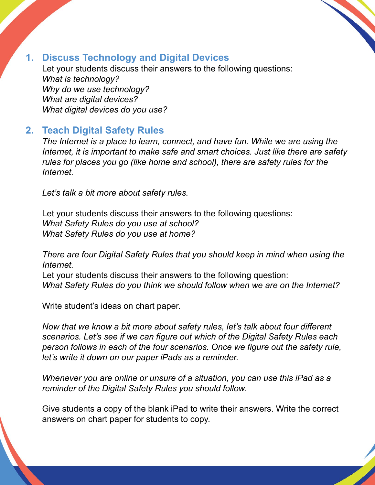

# **1. Discuss Technology and Digital Devices**

Let your students discuss their answers to the following questions: *What is technology? Why do we use technology? What are digital devices? What digital devices do you use?*

# **2. Teach Digital Safety Rules**

*The Internet is a place to learn, connect, and have fun. While we are using the Internet, it is important to make safe and smart choices. Just like there are safety rules for places you go (like home and school), there are safety rules for the Internet.* 

*Let's talk a bit more about safety rules.* 

Let your students discuss their answers to the following questions: *What Safety Rules do you use at school? What Safety Rules do you use at home?* 

*There are four Digital Safety Rules that you should keep in mind when using the Internet.*

Let your students discuss their answers to the following question: *What Safety Rules do you think we should follow when we are on the Internet?* 

Write student's ideas on chart paper.

*Now that we know a bit more about safety rules, let's talk about four different scenarios. Let's see if we can figure out which of the Digital Safety Rules each person follows in each of the four scenarios. Once we figure out the safety rule, let's write it down on our paper iPads as a reminder.* 

*Whenever you are online or unsure of a situation, you can use this iPad as a reminder of the Digital Safety Rules you should follow.* 

Give students a copy of the blank iPad to write their answers. Write the correct answers on chart paper for students to copy.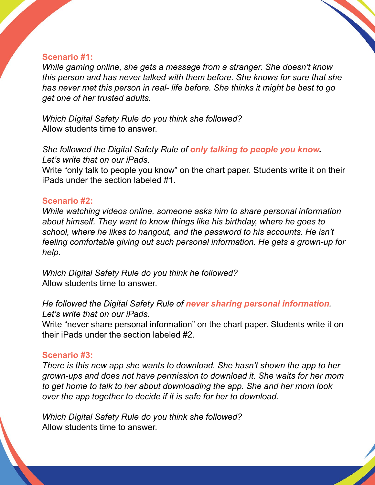#### **Scenario #1:**

*While gaming online, she gets a message from a stranger. She doesn't know this person and has never talked with them before. She knows for sure that she has never met this person in real- life before. She thinks it might be best to go get one of her trusted adults.* 

*Which Digital Safety Rule do you think she followed?* Allow students time to answer.

*She followed the Digital Safety Rule of only talking to people you know. Let's write that on our iPads.* 

Write "only talk to people you know" on the chart paper. Students write it on their iPads under the section labeled #1.

#### **Scenario #2:**

*While watching videos online, someone asks him to share personal information about himself. They want to know things like his birthday, where he goes to school, where he likes to hangout, and the password to his accounts. He isn't feeling comfortable giving out such personal information. He gets a grown-up for help.* 

*Which Digital Safety Rule do you think he followed?* Allow students time to answer.

*He followed the Digital Safety Rule of never sharing personal information. Let's write that on our iPads.* 

Write "never share personal information" on the chart paper. Students write it on their iPads under the section labeled #2.

#### **Scenario #3:**

*There is this new app she wants to download. She hasn't shown the app to her grown-ups and does not have permission to download it. She waits for her mom to get home to talk to her about downloading the app. She and her mom look over the app together to decide if it is safe for her to download.* 

*Which Digital Safety Rule do you think she followed?* Allow students time to answer.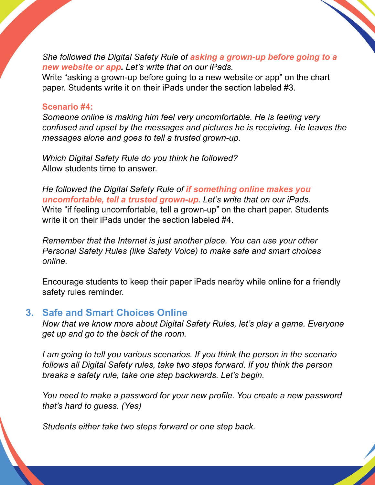*She followed the Digital Safety Rule of asking a grown-up before going to a new website or app. Let's write that on our iPads.* 

Write "asking a grown-up before going to a new website or app" on the chart paper. Students write it on their iPads under the section labeled #3.

#### **Scenario #4:**

*Someone online is making him feel very uncomfortable. He is feeling very confused and upset by the messages and pictures he is receiving. He leaves the messages alone and goes to tell a trusted grown-up.*

*Which Digital Safety Rule do you think he followed?* Allow students time to answer.

*He followed the Digital Safety Rule of if something online makes you uncomfortable, tell a trusted grown-up. Let's write that on our iPads.*  Write "if feeling uncomfortable, tell a grown-up" on the chart paper. Students write it on their iPads under the section labeled #4.

*Remember that the Internet is just another place. You can use your other Personal Safety Rules (like Safety Voice) to make safe and smart choices online.* 

Encourage students to keep their paper iPads nearby while online for a friendly safety rules reminder.

## **3. Safe and Smart Choices Online**

*Now that we know more about Digital Safety Rules, let's play a game. Everyone get up and go to the back of the room.* 

*I am going to tell you various scenarios. If you think the person in the scenario follows all Digital Safety rules, take two steps forward. If you think the person breaks a safety rule, take one step backwards. Let's begin.* 

*You need to make a password for your new profile. You create a new password that's hard to guess. (Yes)* 

*Students either take two steps forward or one step back.*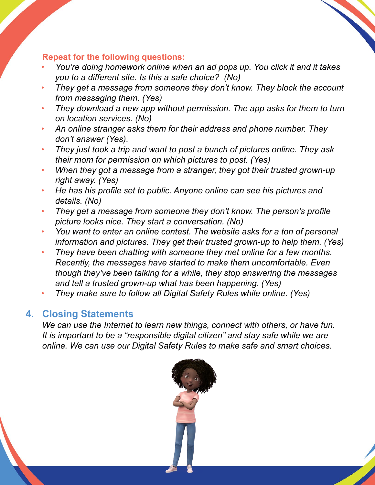#### **Repeat for the following questions:**

- *You're doing homework online when an ad pops up. You click it and it takes you to a different site. Is this a safe choice? (No)*
- *They get a message from someone they don't know. They block the account from messaging them. (Yes)*
- *They download a new app without permission. The app asks for them to turn on location services. (No)*
- *An online stranger asks them for their address and phone number. They don't answer (Yes).*
- *They just took a trip and want to post a bunch of pictures online. They ask their mom for permission on which pictures to post. (Yes)*
- *When they got a message from a stranger, they got their trusted grown-up right away. (Yes)*
- *He has his profile set to public. Anyone online can see his pictures and details. (No)*
- *They get a message from someone they don't know. The person's profile picture looks nice. They start a conversation. (No)*
- *You want to enter an online contest. The website asks for a ton of personal information and pictures. They get their trusted grown-up to help them. (Yes)*
- *They have been chatting with someone they met online for a few months. Recently, the messages have started to make them uncomfortable. Even though they've been talking for a while, they stop answering the messages and tell a trusted grown-up what has been happening. (Yes)*
- *They make sure to follow all Digital Safety Rules while online. (Yes)*

### **4. Closing Statements**

*We can use the Internet to learn new things, connect with others, or have fun. It is important to be a "responsible digital citizen" and stay safe while we are online. We can use our Digital Safety Rules to make safe and smart choices.*